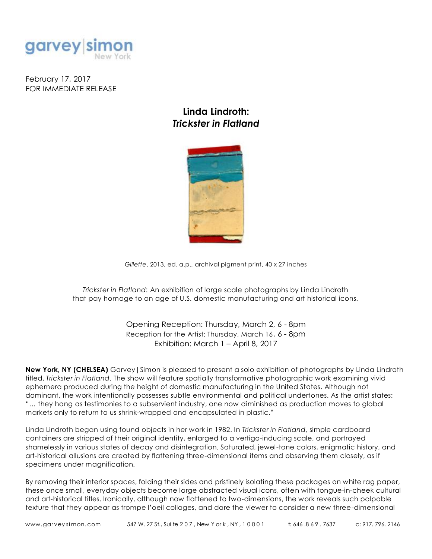

February 17, 2017 FOR IMMEDIATE RELEASE

## Linda Lindroth: *Trickster in Flatland*



*Gillette*, 2013, ed. a.p., archival pigment print, 40 x 27 inches

*Trickster in Flatland*: An exhibition of large scale photographs by Linda Lindroth that pay homage to an age of U.S. domestic manufacturing and art historical icons.

> Opening Reception: Thursday, March 2, 6 - 8pm Reception for the Artist: Thursday, March 16, 6 - 8pm Exhibition: March 1 – April 8, 2017

New York, NY (CHELSEA) Garvey | Simon is pleased to present a solo exhibition of photographs by Linda Lindroth titled, *Trickster in Flatland*. The show will feature spatially transformative photographic work examining vivid ephemera produced during the height of domestic manufacturing in the United States. Although not dominant, the work intentionally possesses subtle environmental and political undertones. As the artist states: "… they hang as testimonies to a subservient industry, one now diminished as production moves to global markets only to return to us shrink-wrapped and encapsulated in plastic."

Linda Lindroth began using found objects in her work in 1982. In *Trickster in Flatland*, simple cardboard containers are stripped of their original identity, enlarged to a vertigo-inducing scale, and portrayed shamelessly in various states of decay and disintegration. Saturated, jewel-tone colors, enigmatic history, and art-historical allusions are created by flattening three-dimensional items and observing them closely, as if specimens under magnification.

By removing their interior spaces, folding their sides and pristinely isolating these packages on white rag paper, these once small, everyday objects become large abstracted visual icons, often with tongue-in-cheek cultural and art-historical titles. Ironically, although now flattened to two-dimensions, the work reveals such palpable texture that they appear as trompe l'oeil collages, and dare the viewer to consider a new three-dimensional